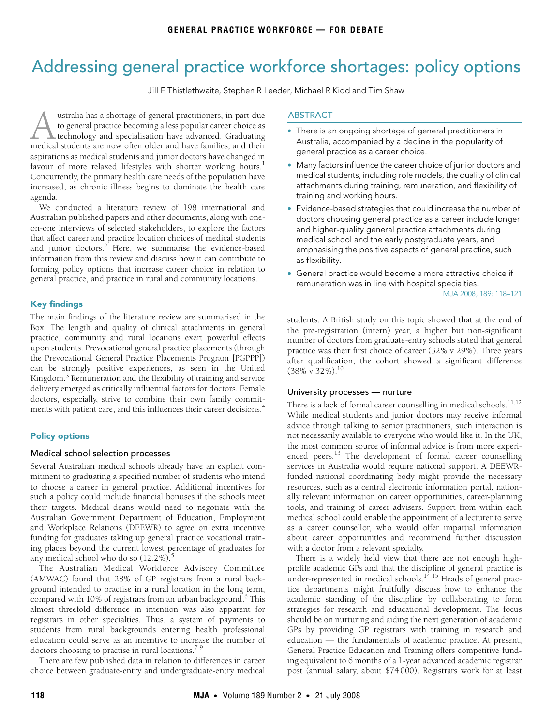# <span id="page-0-0"></span>Addressing general practice workforce shortages: policy options

Jill E Thistlethwaite, Stephen R Leeder, Michael R Kidd and Tim Shaw

ustralia has a shortage of general practitioners, in part due to general practice becoming a less popular career choice as technology and specialisation have advanced. Graduating **Mustralia has a shortage of general practitioners, in part due** to general practice becoming a less popular career choice as technology and specialisation have advanced. Graduating medical students are now often older and aspirations as medical students and junior doctors have changed in favour of more relaxed lifestyles with shorter working hours.<sup>[1](#page-3-0)</sup> Concurrently, the primary health care needs of the population have increased, as chronic illness begins to dominate the health care agenda.

We conducted a literature review of 198 international and Australian published papers a[nd o](#page-0-0)[ther](#page-3-14) documents, along with oneon-one interviews of selected stakeholders, to explore the factors that affect career and practice location choices of medical students and junior doctors.<sup>2</sup> Here, we summarise the evidence-based information from this review and discuss how it can contribute to forming policy options that increase career choice in relation to general practice, and practice in rural and community locations.

#### Key findings

The main findings of the literature review are summarised in the Box. The length and quality of clinical attachments in general practice, community and rural locations exert powerful effects upon students. Prevocational general practice placements (through the Prevocational General Practice Placements Program [PGPPP]) can be strongly positive experiences, as seen in the United Kingdom.<sup>[3](#page-3-2)</sup> Remuneration and the flexibility of training and service delivery emerged as critically influential factors for doctors. Female doctors, especially, strive to combine their own family commitments with patient care, and this influences their career decisions.[4](#page-3-3)

#### Policy options

#### Medical school selection processes

Several Australian medical schools already have an explicit commitment to graduating a specified number of students who intend to choose a career in general practice. Additional incentives for such a policy could include financial bonuses if the schools meet their targets. Medical deans would need to negotiate with the Australian Government Department of Education, Employment and Workplace Relations (DEEWR) to agree on extra incentive funding for graduates taking up general practice vocational training places beyond the current lowest percentage of graduates for any medical school who do so (12.2%).[5](#page-3-4)

The Australian Medical Workforce Advisory Committee (AMWAC) found that 28% of GP registrars from a rural background intended to practise in a rural location in the long term, compared with 10% of registrars from an urban background.<sup>[6](#page-3-5)</sup> This almost threefold difference in intention was also apparent for registrars in other specialties. Thus, a system of payments to students from rural backgrounds entering health professional education could serve as an incentive to increase the number of doctors choosing to practise in rural locations.<sup>[7-](#page-3-6)[9](#page-3-7)</sup>

There are few published data in relation to differences in career choice between graduate-entry and undergraduate-entry medical

#### ABSTRACT

- There is an ongoing shortage of general practitioners in Australia, accompanied by a decline in the popularity of general practice as a career choice.
- Many factors influence the career choice of junior doctors and medical students, including role models, the quality of clinical attachments during training, remuneration, and flexibility of training and working hours.
- Evidence-based strategies that could increase the number of doctors choosing general practice as a career include longer and higher-quality general practice attachments during medical school and the early postgraduate years, and emphasising the positive aspects of general practice, such as flexibility.
- General practice would become a more attractive choice if MJA 2008; 189: 118–121 remuneration was in line with hospital specialties.

students. A British study on this topic showed that at the end of the pre-registration (intern) year, a higher but non-significant number of doctors from graduate-entry schools stated that general practice was their first choice of career (32% v 29%). Three years after qualification, the cohort showed a significant difference  $(38\% \text{ y } 32\%).$ <sup>10</sup>

#### University processes — nurture

There is a lack of formal career counselling in medical schools.<sup>[11](#page-3-9)[,12](#page-3-10)</sup> While medical students and junior doctors may receive informal advice through talking to senior practitioners, such interaction is not necessarily available to everyone who would like it. In the UK, the most common source of informal advice is from more experi-enced peers.<sup>[13](#page-3-11)</sup> The development of formal career counselling services in Australia would require national support. A DEEWRfunded national coordinating body might provide the necessary resources, such as a central electronic information portal, nationally relevant information on career opportunities, career-planning tools, and training of career advisers. Support from within each medical school could enable the appointment of a lecturer to serve as a career counsellor, who would offer impartial information about career opportunities and recommend further discussion with a doctor from a relevant specialty.

There is a widely held view that there are not enough highprofile academic GPs and that the discipline of general practice is under-represented in medical schools.<sup>[14](#page-3-12),15</sup> Heads of general practice departments might fruitfully discuss how to enhance the academic standing of the discipline by collaborating to form strategies for research and educational development. The focus should be on nurturing and aiding the next generation of academic GPs by providing GP registrars with training in research and education — the fundamentals of academic practice. At present, General Practice Education and Training offers competitive funding equivalent to 6 months of a 1-year advanced academic registrar post (annual salary, about \$74 000). Registrars work for at least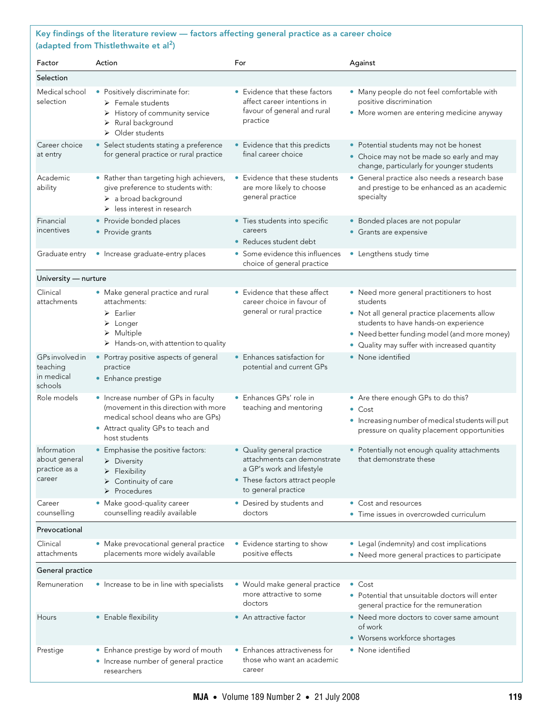### Key findings of the literature review — factors affecting general practice as a career choice (adapted from Thistlethwaite et  $al^2$ )

| Factor                                                  | Action                                                                                                                                                                                        | For                                                                                                                                             | Against                                                                                                                                                                                                                                      |
|---------------------------------------------------------|-----------------------------------------------------------------------------------------------------------------------------------------------------------------------------------------------|-------------------------------------------------------------------------------------------------------------------------------------------------|----------------------------------------------------------------------------------------------------------------------------------------------------------------------------------------------------------------------------------------------|
| Selection                                               |                                                                                                                                                                                               |                                                                                                                                                 |                                                                                                                                                                                                                                              |
| Medical school<br>selection                             | • Positively discriminate for:<br>$\triangleright$ Female students<br>$\triangleright$ History of community service<br>> Rural background<br>> Older students                                 | • Evidence that these factors<br>affect career intentions in<br>favour of general and rural<br>practice                                         | • Many people do not feel comfortable with<br>positive discrimination<br>• More women are entering medicine anyway                                                                                                                           |
| Career choice<br>at entry                               | • Select students stating a preference<br>for general practice or rural practice                                                                                                              | • Evidence that this predicts<br>final career choice                                                                                            | • Potential students may not be honest<br>• Choice may not be made so early and may<br>change, particularly for younger students                                                                                                             |
| Academic<br>ability                                     | • Rather than targeting high achievers,<br>give preference to students with:<br>$\triangleright$ a broad background<br>$\triangleright$ less interest in research                             | • Evidence that these students<br>are more likely to choose<br>general practice                                                                 | • General practice also needs a research base<br>and prestige to be enhanced as an academic<br>specialty                                                                                                                                     |
| Financial<br>incentives                                 | • Provide bonded places<br>• Provide grants                                                                                                                                                   | • Ties students into specific<br>careers<br>• Reduces student debt                                                                              | • Bonded places are not popular<br>• Grants are expensive                                                                                                                                                                                    |
| Graduate entry                                          | • Increase graduate-entry places                                                                                                                                                              | • Some evidence this influences<br>choice of general practice                                                                                   | • Lengthens study time                                                                                                                                                                                                                       |
| University - nurture                                    |                                                                                                                                                                                               |                                                                                                                                                 |                                                                                                                                                                                                                                              |
| Clinical<br>attachments                                 | • Make general practice and rural<br>attachments:<br>$\triangleright$ Earlier<br>$\triangleright$ Longer<br>$\triangleright$ Multiple<br>$\triangleright$ Hands-on, with attention to quality | • Evidence that these affect<br>career choice in favour of<br>general or rural practice                                                         | • Need more general practitioners to host<br>students<br>• Not all general practice placements allow<br>students to have hands-on experience<br>• Need better funding model (and more money)<br>• Quality may suffer with increased quantity |
| GPs involved in<br>teaching<br>in medical<br>schools    | • Portray positive aspects of general<br>practice<br>• Enhance prestige                                                                                                                       | • Enhances satisfaction for<br>potential and current GPs                                                                                        | • None identified                                                                                                                                                                                                                            |
| Role models                                             | • Increase number of GPs in faculty<br>(movement in this direction with more<br>medical school deans who are GPs)<br>• Attract quality GPs to teach and<br>host students                      | • Enhances GPs' role in<br>teaching and mentoring                                                                                               | • Are there enough GPs to do this?<br>$\bullet$ Cost<br>• Increasing number of medical students will put<br>pressure on quality placement opportunities                                                                                      |
| Information<br>about general<br>practice as a<br>career | • Emphasise the positive factors:<br>$\triangleright$ Diversity<br>$\triangleright$ Flexibility<br>$\triangleright$ Continuity of care<br>$\triangleright$ Procedures                         | • Quality general practice<br>attachments can demonstrate<br>a GP's work and lifestyle<br>• These factors attract people<br>to general practice | • Potentially not enough quality attachments<br>that demonstrate these                                                                                                                                                                       |
| Career<br>counselling                                   | • Make good-quality career<br>counselling readily available                                                                                                                                   | • Desired by students and<br>doctors                                                                                                            | • Cost and resources<br>• Time issues in overcrowded curriculum                                                                                                                                                                              |
| Prevocational                                           |                                                                                                                                                                                               |                                                                                                                                                 |                                                                                                                                                                                                                                              |
| Clinical<br>attachments                                 | • Make prevocational general practice<br>placements more widely available                                                                                                                     | • Evidence starting to show<br>positive effects                                                                                                 | • Legal (indemnity) and cost implications<br>• Need more general practices to participate                                                                                                                                                    |
| General practice                                        |                                                                                                                                                                                               |                                                                                                                                                 |                                                                                                                                                                                                                                              |
| Remuneration                                            | • Increase to be in line with specialists                                                                                                                                                     | • Would make general practice<br>more attractive to some<br>doctors                                                                             | $\bullet$ Cost<br>• Potential that unsuitable doctors will enter<br>general practice for the remuneration                                                                                                                                    |
| Hours                                                   | • Enable flexibility                                                                                                                                                                          | • An attractive factor                                                                                                                          | • Need more doctors to cover same amount<br>of work<br>• Worsens workforce shortages                                                                                                                                                         |
| Prestige                                                | • Enhance prestige by word of mouth<br>• Increase number of general practice<br>researchers                                                                                                   | • Enhances attractiveness for<br>those who want an academic<br>career                                                                           | • None identified                                                                                                                                                                                                                            |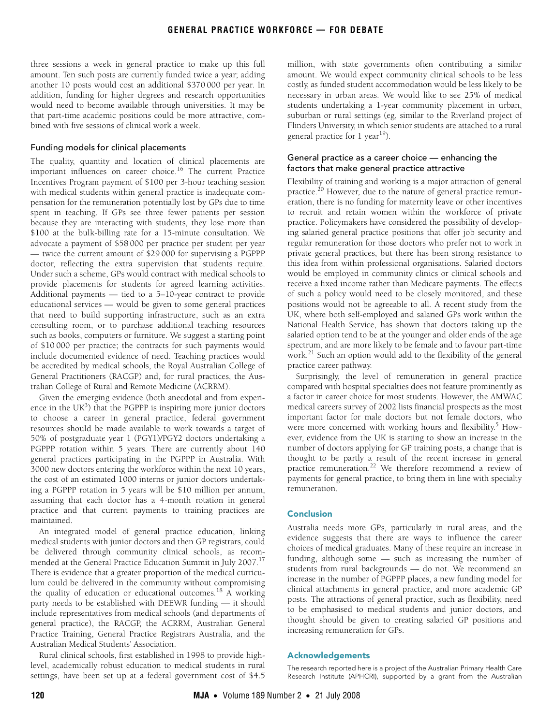three sessions a week in general practice to make up this full amount. Ten such posts are currently funded twice a year; adding another 10 posts would cost an additional \$370 000 per year. In addition, funding for higher degrees and research opportunities would need to become available through universities. It may be that part-time academic positions could be more attractive, combined with five sessions of clinical work a week.

#### Funding models for clinical placements

The quality, quantity and location of clinical placements are important influences on career choice.<sup>16</sup> The current Practice Incentives Program payment of \$100 per 3-hour teaching session with medical students within general practice is inadequate compensation for the remuneration potentially lost by GPs due to time spent in teaching. If GPs see three fewer patients per session because they are interacting with students, they lose more than \$100 at the bulk-billing rate for a 15-minute consultation. We advocate a payment of \$58 000 per practice per student per year — twice the current amount of \$29 000 for supervising a PGPPP doctor, reflecting the extra supervision that students require. Under such a scheme, GPs would contract with medical schools to provide placements for students for agreed learning activities. Additional payments — tied to a 5–10-year contract to provide educational services — would be given to some general practices that need to build supporting infrastructure, such as an extra consulting room, or to purchase additional teaching resources such as books, computers or furniture. We suggest a starting point of \$10 000 per practice; the contracts for such payments would include documented evidence of need. Teaching practices would be accredited by medical schools, the Royal Australian College of General Practitioners (RACGP) and, for rural practices, the Australian College of Rural and Remote Medicine (ACRRM).

Given the emerging evidence (both anecdotal and from experience in the  $UK<sup>3</sup>$  $UK<sup>3</sup>$  $UK<sup>3</sup>$ ) that the PGPPP is inspiring more junior doctors to choose a career in general practice, federal government resources should be made available to work towards a target of 50% of postgraduate year 1 (PGY1)/PGY2 doctors undertaking a PGPPP rotation within 5 years. There are currently about 140 general practices participating in the PGPPP in Australia. With 3000 new doctors entering the workforce within the next 10 years, the cost of an estimated 1000 interns or junior doctors undertaking a PGPPP rotation in 5 years will be \$10 million per annum, assuming that each doctor has a 4-month rotation in general practice and that current payments to training practices are maintained.

An integrated model of general practice education, linking medical students with junior doctors and then GP registrars, could be delivered through community clinical schools, as recom-mended at the General Practice Education Summit in July 2007.<sup>[17](#page-3-16)</sup> There is evidence that a greater proportion of the medical curriculum could be delivered in the community without compromising the quality of education or educational outcomes.<sup>[18](#page-3-17)</sup> A working party needs to be established with DEEWR funding — it should include representatives from medical schools (and departments of general practice), the RACGP, the ACRRM, Australian General Practice Training, General Practice Registrars Australia, and the Australian Medical Students' Association.

Rural clinical schools, first established in 1998 to provide highlevel, academically robust education to medical students in rural settings, have been set up at a federal government cost of \$4.5 million, with state governments often contributing a similar amount. We would expect community clinical schools to be less costly, as funded student accommodation would be less likely to be necessary in urban areas. We would like to see 25% of medical students undertaking a 1-year community placement in urban, suburban or rural settings (eg, similar to the Riverland project of Flinders University, in which senior students are attached to a rural general practice for  $1$  year<sup>[19](#page-3-18)</sup>).

#### General practice as a career choice — enhancing the factors that make general practice attractive

Flexibility of training and working is a major attraction of general practice.<sup>20</sup> However, due to the nature of general practice remuneration, there is no funding for maternity leave or other incentives to recruit and retain women within the workforce of private practice. Policymakers have considered the possibility of developing salaried general practice positions that offer job security and regular remuneration for those doctors who prefer not to work in private general practices, but there has been strong resistance to this idea from within professional organisations. Salaried doctors would be employed in community clinics or clinical schools and receive a fixed income rather than Medicare payments. The effects of such a policy would need to be closely monitored, and these positions would not be agreeable to all. A recent study from the UK, where both self-employed and salaried GPs work within the National Health Service, has shown that doctors taking up the salaried option tend to be at the younger and older ends of the age spectrum, and are more likely to be female and to favour part-time work.[21](#page-3-20) Such an option would add to the flexibility of the general practice career pathway.

Surprisingly, the level of remuneration in general practice compared with hospital specialties does not feature prominently as a factor in career choice for most students. However, the AMWAC medical careers survey of 2002 lists financial prospects as the most important factor for male doctors but not female doctors, who were more concerned with working hours and flexibility.<sup>[5](#page-3-4)</sup> However, evidence from the UK is starting to show an increase in the number of doctors applying for GP training posts, a change that is thought to be partly a result of the recent increase in general practice remuneration.[22](#page-3-14) We therefore recommend a review of payments for general practice, to bring them in line with specialty remuneration.

#### Conclusion

Australia needs more GPs, particularly in rural areas, and the evidence suggests that there are ways to influence the career choices of medical graduates. Many of these require an increase in funding, although some — such as increasing the number of students from rural backgrounds — do not. We recommend an increase in the number of PGPPP places, a new funding model for clinical attachments in general practice, and more academic GP posts. The attractions of general practice, such as flexibility, need to be emphasised to medical students and junior doctors, and thought should be given to creating salaried GP positions and increasing remuneration for GPs.

#### Acknowledgements

The research reported here is a project of the Australian Primary Health Care Research Institute (APHCRI), supported by a grant from the Australian